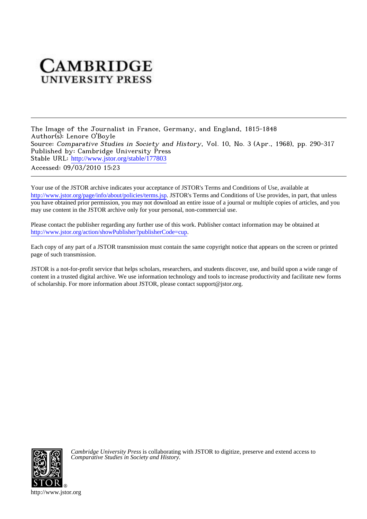# **CAMBRIDGE UNIVERSITY PRESS**

The Image of the Journalist in France, Germany, and England, 1815-1848 Author(s): Lenore O'Boyle Source: Comparative Studies in Society and History, Vol. 10, No. 3 (Apr., 1968), pp. 290-317 Published by: Cambridge University Press Stable URL: [http://www.jstor.org/stable/177803](http://www.jstor.org/stable/177803?origin=JSTOR-pdf) Accessed: 09/03/2010 15:23

Your use of the JSTOR archive indicates your acceptance of JSTOR's Terms and Conditions of Use, available at <http://www.jstor.org/page/info/about/policies/terms.jsp>. JSTOR's Terms and Conditions of Use provides, in part, that unless you have obtained prior permission, you may not download an entire issue of a journal or multiple copies of articles, and you may use content in the JSTOR archive only for your personal, non-commercial use.

Please contact the publisher regarding any further use of this work. Publisher contact information may be obtained at <http://www.jstor.org/action/showPublisher?publisherCode=cup>.

Each copy of any part of a JSTOR transmission must contain the same copyright notice that appears on the screen or printed page of such transmission.

JSTOR is a not-for-profit service that helps scholars, researchers, and students discover, use, and build upon a wide range of content in a trusted digital archive. We use information technology and tools to increase productivity and facilitate new forms of scholarship. For more information about JSTOR, please contact support@jstor.org.



*Cambridge University Press* is collaborating with JSTOR to digitize, preserve and extend access to *Comparative Studies in Society and History.*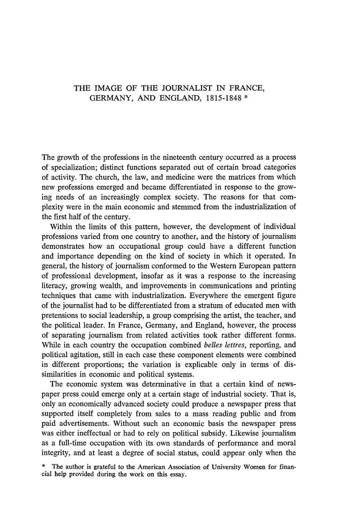# THE IMAGE OF THE JOURNALIST IN FRANCE. GERMANY, AND ENGLAND, 1815-1848 \*

The growth of the professions in the nineteenth century occurred as a process of specialization; distinct functions separated out of certain broad categories of activity. The church, the law, and medicine were the matrices from which new professions emerged and became differentiated in response to the growing needs of an increasingly complex society. The reasons for that complexity were in the main economic and stemmed from the industrialization of the first half of the century.

Within the limits of this pattern, however, the development of individual professions varied from one country to another, and the history of journalism demonstrates how an occupational group could have a different function and importance depending on the kind of society in which it operated. In general, the history of journalism conformed to the Western European pattern of professional development, insofar as it was a response to the increasing literacy, growing wealth, and improvements in communications and printing techniques that came with industrialization. Everywhere the emergent figure of the journalist had to be differentiated from a stratum of educated men with pretensions to social leadership, a group comprising the artist, the teacher, and the political leader. In France, Germany, and England, however, the process of separating journalism from related activities took rather different forms. While in each country the occupation combined belles lettres, reporting, and political agitation, still in each case these component elements were combined in different proportions; the variation is explicable only in terms of dissimilarities in economic and political systems.

The economic system was determinative in that a certain kind of newspaper press could emerge only at a certain stage of industrial society. That is, only an economically advanced society could produce a newspaper press that supported itself completely from sales to a mass reading public and from paid advertisements. Without such an economic basis the newspaper press was either ineffectual or had to rely on political subsidy. Likewise journalism as a full-time occupation with its own standards of performance and moral integrity, and at least a degree of social status, could appear only when the

<sup>\*</sup> The author is grateful to the American Association of University Women for financial help provided during the work on this essay.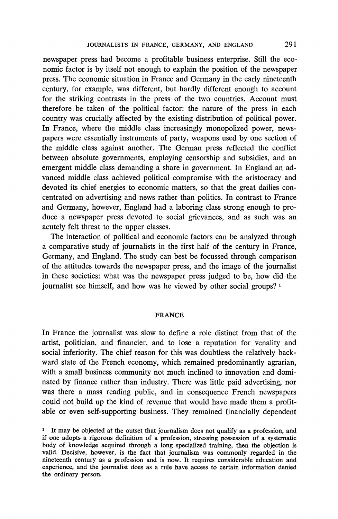newspaper press had become a profitable business enterprise. Still the economic factor is by itself not enough to explain the position of the newspaper press. The economic situation in France and Germany in the early nineteenth century, for example, was different, but hardly different enough to account for the striking contrasts in the press of the two countries. Account must therefore be taken of the political factor: the nature of the press in each country was crucially affected by the existing distribution of political power. In France, where the middle class increasingly monopolized power, newspapers were essentially instruments of party, weapons used by one section of the middle class against another. The German press reflected the conflict between absolute governments, employing censorship and subsidies, and an emergent middle class demanding a share in government. In England an advanced middle class achieved political compromise with the aristocracy and devoted its chief energies to economic matters, so that the great dailies concentrated on advertising and news rather than politics. In contrast to France and Germany, however, England had a laboring class strong enough to produce a newspaper press devoted to social grievances, and as such was an acutely felt threat to the upper classes.

The interaction of political and economic factors can be analyzed through a comparative study of journalists in the first half of the century in France, Germany, and England. The study can best be focussed through comparison of the attitudes towards the newspaper press, and the image of the journalist in these societies: what was the newspaper press judged to be, how did the journalist see himself, and how was he viewed by other social groups?<sup>1</sup>

# **FRANCE**

In France the journalist was slow to define a role distinct from that of the artist, politician, and financier, and to lose a reputation for venality and social inferiority. The chief reason for this was doubtless the relatively backward state of the French economy, which remained predominantly agrarian, with a small business community not much inclined to innovation and dominated by finance rather than industry. There was little paid advertising, nor was there a mass reading public, and in consequence French newspapers could not build up the kind of revenue that would have made them a profitable or even self-supporting business. They remained financially dependent

<sup>&</sup>lt;sup>1</sup> It may be objected at the outset that journalism does not qualify as a profession, and if one adopts a rigorous definition of a profession, stressing possession of a systematic body of knowledge acquired through a long specialized training, then the objection is valid. Decisive, however, is the fact that journalism was commonly regarded in the nineteenth century as a profession and is now. It requires considerable education and experience, and the journalist does as a rule have access to certain information denied the ordinary person.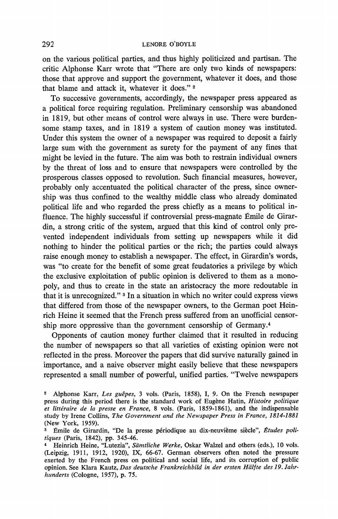on the various political parties, and thus highly politicized and partisan. The critic Alphonse Karr wrote that "There are only two kinds of newspapers: those that approve and support the government, whatever it does, and those that blame and attack it. whatever it does." 2

To successive governments, accordingly, the newspaper press appeared as a political force requiring regulation. Preliminary censorship was abandoned in 1819, but other means of control were always in use. There were burdensome stamp taxes, and in 1819 a system of caution money was instituted. Under this system the owner of a newspaper was required to deposit a fairly large sum with the government as surety for the payment of any fines that might be levied in the future. The aim was both to restrain individual owners by the threat of loss and to ensure that newspapers were controlled by the prosperous classes opposed to revolution. Such financial measures, however, probably only accentuated the political character of the press, since ownership was thus confined to the wealthy middle class who already dominated political life and who regarded the press chiefly as a means to political influence. The highly successful if controversial press-magnate Émile de Girardin, a strong critic of the system, argued that this kind of control only prevented independent individuals from setting up newspapers while it did nothing to hinder the political parties or the rich; the parties could always raise enough money to establish a newspaper. The effect, in Girardin's words, was "to create for the benefit of some great feudatories a privilege by which the exclusive exploitation of public opinion is delivered to them as a monopoly, and thus to create in the state an aristocracy the more redoutable in that it is unrecognized." <sup>3</sup> In a situation in which no writer could express views that differed from those of the newspaper owners, to the German poet Heinrich Heine it seemed that the French press suffered from an unofficial censorship more oppressive than the government censorship of Germany.<sup>4</sup>

Opponents of caution money further claimed that it resulted in reducing the number of newspapers so that all varieties of existing opinion were not reflected in the press. Moreover the papers that did survive naturally gained in importance, and a naive observer might easily believe that these newspapers represented a small number of powerful, unified parties. "Twelve newspapers

<sup>&</sup>lt;sup>2</sup> Alphonse Karr, Les guêpes, 3 vols. (Paris, 1858), I, 9. On the French newspaper press during this period there is the standard work of Eugène Hatin, *Histoire politique* et littéraire de la presse en France, 8 vols. (Paris, 1859-1861), and the indispensable study by Irene Collins, The Government and the Newspaper Press in France, 1814-1881 (New York, 1959).

Émile de Girardin, "De la presse périodique au dix-neuvième siècle", Études politiques (Paris, 1842), pp. 345-46.

<sup>&</sup>lt;sup>4</sup> Heinrich Heine, "Lutezia", Sämtliche Werke, Oskar Walzel and others (eds.), 10 vols. (Leipzig, 1911, 1912, 1920), IX, 66-67. German observers often noted the pressure exerted by the French press on political and social life, and its corruption of public opinion. See Klara Kautz, Das deutsche Frankreichbild in der ersten Hälfte des 19. Jahrhunderts (Cologne, 1957), p. 75.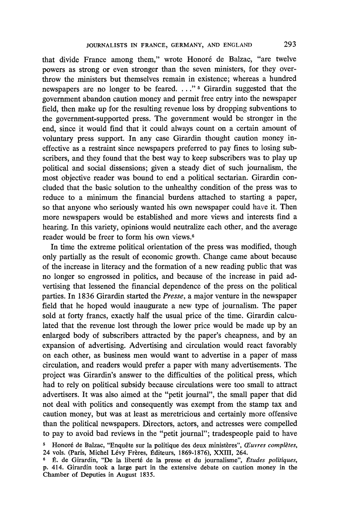that divide France among them," wrote Honoré de Balzac, "are twelve nowers as strong or even stronger than the seven ministers, for they overthrow the ministers but themselves remain in existence: whereas a hundred newspapers are no longer to be feared...."<sup>5</sup> Girardin suggested that the government abandon caution money and permit free entry into the newspaper field, then make up for the resulting revenue loss by dropping subventions to the government-supported press. The government would be stronger in the end, since it would find that it could always count on a certain amount of voluntary press support. In any case Girardin thought caution money ineffective as a restraint since newspapers preferred to pay fines to losing subscribers, and they found that the best way to keep subscribers was to play up political and social dissensions; given a steady diet of such journalism, the most objective reader was bound to end a political sectarian. Girardin concluded that the basic solution to the unhealthy condition of the press was to reduce to a minimum the financial burdens attached to starting a paper, so that anyone who seriously wanted his own newspaper could have it. Then more newspapers would be established and more views and interests find a hearing. In this variety, opinions would neutralize each other, and the average reader would be freer to form his own views.<sup>6</sup>

In time the extreme political orientation of the press was modified, though only partially as the result of economic growth. Change came about because of the increase in literacy and the formation of a new reading public that was no longer so engrossed in politics, and because of the increase in paid advertising that lessened the financial dependence of the press on the political parties. In 1836 Girardin started the *Presse*, a major venture in the newspaper field that he hoped would inaugurate a new type of journalism. The paper sold at forty francs, exactly half the usual price of the time. Girardin calculated that the revenue lost through the lower price would be made up by an enlarged body of subscribers attracted by the paper's cheapness, and by an expansion of advertising. Advertising and circulation would react favorably on each other, as business men would want to advertise in a paper of mass circulation, and readers would prefer a paper with many advertisements. The project was Girardin's answer to the difficulties of the political press, which had to rely on political subsidy because circulations were too small to attract advertisers. It was also aimed at the "petit journal", the small paper that did not deal with politics and consequently was exempt from the stamp tax and caution money, but was at least as meretricious and certainly more offensive than the political newspapers. Directors, actors, and actresses were compelled to pay to avoid bad reviews in the "petit journal"; tradespeople paid to have

Honoré de Balzac, "Enquête sur la politique des deux ministères", Œuvres complètes, 24 vols. (Paris, Michel Lévy Frères, Éditeurs, 1869-1876), XXIII, 264.

É. de Girardin, "De la liberté de la presse et du journalisme", Études politiques, p. 414. Girardin took a large part in the extensive debate on caution money in the Chamber of Deputies in August 1835.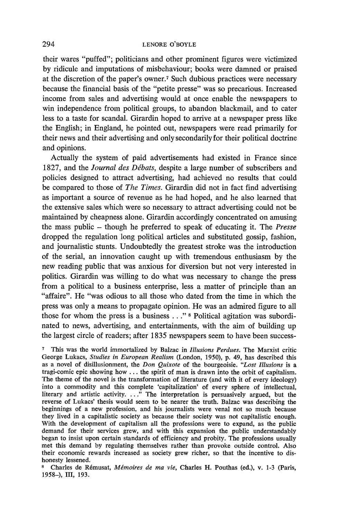#### I ENORE O'BOYLE

their wares "puffed": politicians and other prominent figures were victimized by ridicule and imputations of misbehaviour: books were damned or praised at the discretion of the paper's owner.<sup>7</sup> Such dubious practices were necessary because the financial basis of the "petite presse" was so precarious. Increased income from sales and advertising would at once enable the newspapers to win independence from political groups, to abandon blackmail, and to cater less to a taste for scandal. Girardin hoped to arrive at a newspaper press like the English; in England, he pointed out, newspapers were read primarily for their news and their advertising and only secondarily for their political doctrine and opinions.

Actually the system of paid advertisements had existed in France since 1827. and the Journal des Débats, despite a large number of subscribers and policies designed to attract advertising, had achieved no results that could be compared to those of *The Times*. Girardin did not in fact find advertising as important a source of revenue as he had hoped, and he also learned that the extensive sales which were so necessary to attract advertising could not be maintained by cheapness alone. Girardin accordingly concentrated on amusing the mass public – though he preferred to speak of educating it. The *Presse* dropped the regulation long political articles and substituted gossip, fashion, and journalistic stunts. Undoubtedly the greatest stroke was the introduction of the serial, an innovation caught up with tremendous enthusiasm by the new reading public that was anxious for diversion but not very interested in politics. Girardin was willing to do what was necessary to change the press from a political to a business enterprise, less a matter of principle than an "affaire". He "was odious to all those who dated from the time in which the press was only a means to propagate opinion. He was an admired figure to all those for whom the press is a business . . ." <sup>8</sup> Political agitation was subordinated to news, advertising, and entertainments, with the aim of building up the largest circle of readers; after 1835 newspapers seem to have been success-

7 This was the world immortalized by Balzac in Illusions Perdues. The Marxist critic George Lukacs, Studies in European Realism (London, 1950), p. 49, has described this as a novel of disillusionment, the Don Quixote of the bourgeoisie. "Lost Illusions is a tragi-comic epic showing how  $\dots$  the spirit of man is drawn into the orbit of capitalism. The theme of the novel is the transformation of literature (and with it of every ideology) into a commodity and this complete 'capitalization' of every sphere of intellectual, literary and artistic activity. ..." The interpretation is persuasively argued, but the reverse of Lukacs' thesis would seem to be nearer the truth. Balzac was describing the beginnings of a new profession, and his journalists were venal not so much because they lived in a capitalistic society as because their society was not capitalistic enough. With the development of capitalism all the professions were to expand, as the public demand for their services grew, and with this expansion the public understandably began to insist upon certain standards of efficiency and probity. The professions usually met this demand by regulating themselves rather than provoke outside control. Also their economic rewards increased as society grew richer, so that the incentive to dishonesty lessened.

<sup>8</sup> Charles de Rémusat, *Mémoires de ma vie*, Charles H. Pouthas (ed.), v. 1-3 (Paris, 1958-), III, 193.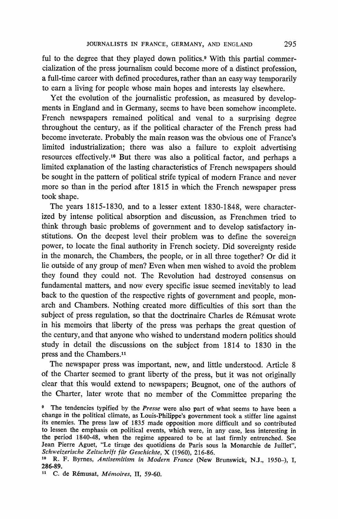ful to the degree that they played down politics.<sup>9</sup> With this partial commercialization of the press iournalism could become more of a distinct profession, a full-time career with defined procedures, rather than an easy way temporarily to earn a living for people whose main hopes and interests lay elsewhere.

Yet the evolution of the journalistic profession, as measured by developments in England and in Germany, seems to have been somehow incomplete. French newspapers remained political and venal to a surprising degree throughout the century, as if the political character of the French press had become inveterate. Probably the main reason was the obvious one of France's limited industrialization: there was also a failure to exploit advertising resources effectively.<sup>10</sup> But there was also a political factor, and perhaps a limited explanation of the lasting characteristics of French newspapers should be sought in the pattern of political strife typical of modern France and never more so than in the period after 1815 in which the French newspaper press took shape.

The years 1815-1830, and to a lesser extent 1830-1848, were characterized by intense political absorption and discussion, as Frenchmen tried to think through basic problems of government and to develop satisfactory institutions. On the deepest level their problem was to define the sovereign power, to locate the final authority in French society. Did sovereignty reside in the monarch, the Chambers, the people, or in all three together? Or did it lie outside of any group of men? Even when men wished to avoid the problem they found they could not. The Revolution had destroyed consensus on fundamental matters, and now every specific issue seemed inevitably to lead back to the question of the respective rights of government and people, monarch and Chambers. Nothing created more difficulties of this sort than the subject of press regulation, so that the doctrinaire Charles de Rémusat wrote in his memoirs that liberty of the press was perhaps the great question of the century, and that anyone who wished to understand modern politics should study in detail the discussions on the subject from 1814 to 1830 in the press and the Chambers.<sup>11</sup>

The newspaper press was important, new, and little understood. Article 8 of the Charter seemed to grant liberty of the press, but it was not originally clear that this would extend to newspapers; Beugnot, one of the authors of the Charter, later wrote that no member of the Committee preparing the

<sup>&</sup>lt;sup>9</sup> The tendencies typified by the Presse were also part of what seems to have been a change in the political climate, as Louis-Philippe's government took a stiffer line against its enemies. The press law of 1835 made opposition more difficult and so contributed to lessen the emphasis on political events, which were, in any case, less interesting in the period 1840-48, when the regime appeared to be at last firmly entrenched. See Jean Pierre Aguet, "Le tirage des quotidiens de Paris sous la Monarchie de Juillet", Schweizerische Zeitschrift für Geschichte, X (1960), 216-86.

<sup>&</sup>lt;sup>10</sup> R. F. Byrnes, Antisemitism in Modern France (New Brunswick, N.J., 1950-), I, 286-89.

<sup>&</sup>lt;sup>11</sup> C. de Rémusat, Mémoires, II, 59-60.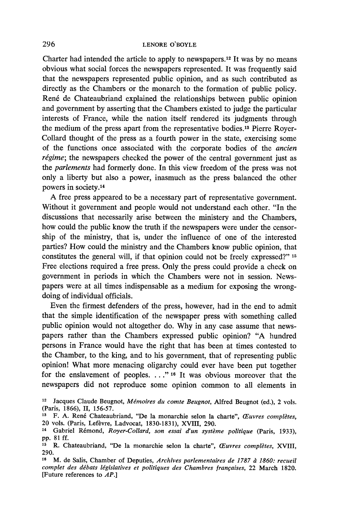Charter had intended the article to apply to newspapers.<sup>12</sup> It was by no means obvious what social forces the newspapers represented. It was frequently said that the newspapers represented public opinion, and as such contributed as directly as the Chambers or the monarch to the formation of public policy. René de Chateaubriand explained the relationships between public opinion and government by asserting that the Chambers existed to judge the particular interests of France, while the nation itself rendered its judgments through the medium of the press apart from the representative bodies.<sup>13</sup> Pierre Rover-Collard thought of the press as a fourth power in the state, exercising some of the functions once associated with the corporate bodies of the ancien *régime*; the newspapers checked the power of the central government just as the *parlements* had formerly done. In this view freedom of the press was not only a liberty but also a power, inasmuch as the press balanced the other powers in society.<sup>14</sup>

A free press appeared to be a necessary part of representative government. Without it government and people would not understand each other. "In the discussions that necessarily arise between the ministery and the Chambers, how could the public know the truth if the newspapers were under the censorship of the ministry, that is, under the influence of one of the interested parties? How could the ministry and the Chambers know public opinion, that constitutes the general will, if that opinion could not be freely expressed?" 15 Free elections required a free press. Only the press could provide a check on government in periods in which the Chambers were not in session. Newspapers were at all times indispensable as a medium for exposing the wrongdoing of individual officials.

Even the firmest defenders of the press, however, had in the end to admit that the simple identification of the newspaper press with something called public opinion would not altogether do. Why in any case assume that newspapers rather than the Chambers expressed public opinion? "A hundred persons in France would have the right that has been at times contested to the Chamber, to the king, and to his government, that of representing public opinion! What more menacing oligarchy could ever have been put together for the enslavement of peoples. . .." <sup>16</sup> It was obvious moreover that the newspapers did not reproduce some opinion common to all elements in

<sup>&</sup>lt;sup>12</sup> Jacques Claude Beugnot, *Mémoires du comte Beugnot*, Alfred Beugnot (ed.), 2 vols. (Paris, 1866), II, 156-57.

<sup>&</sup>lt;sup>13</sup> F. A. René Chateaubriand, "De la monarchie selon la charte", Œuvres complètes, 20 vols. (Paris, Lefèvre, Ladvocat, 1830-1831), XVIII, 290.

<sup>&</sup>lt;sup>14</sup> Gabriel Rémond, Royer-Collard, son essai d'un système politique (Paris, 1933), pp. 81 ff.

<sup>&</sup>lt;sup>15</sup> R. Chateaubriand, "De la monarchie selon la charte", Œuvres complètes, XVIII, 290.

<sup>&</sup>lt;sup>16</sup> M. de Salis, Chamber of Deputies, Archives parlementaires de 1787 à 1860: recueil complet des débats législatives et politiques des Chambres françaises, 22 March 1820. [Future references to  $AP$ .]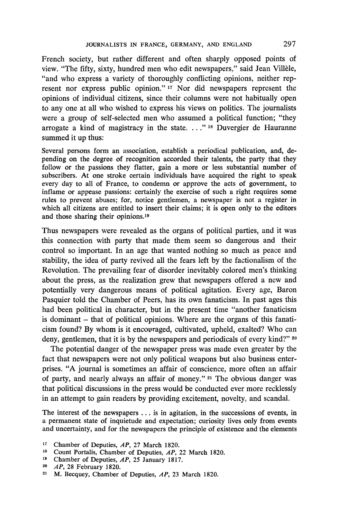French society, but rather different and often sharply opposed points of view. "The fifty, sixty, hundred men who edit newspapers," said Jean Villèle, "and who express a variety of thoroughly conflicting opinions, neither represent nor express public opinion."  $17$  Nor did newspapers represent the opinions of individual citizens, since their columns were not habitually open to any one at all who wished to express his views on politics. The journalists were a group of self-selected men who assumed a political function: "they arrogate a kind of magistracy in the state...." <sup>18</sup> Duvergier de Hauranne summed it up thus:

Several persons form an association, establish a periodical publication, and, depending on the degree of recognition accorded their talents, the party that they follow or the passions they flatter, gain a more or less substantial number of subscribers. At one stroke certain individuals have acquired the right to speak every day to all of France, to condemn or approve the acts of government, to inflame or appease passions: certainly the exercise of such a right requires some rules to prevent abuses: for, notice gentlemen, a newspaper is not a register in which all citizens are entitled to insert their claims; it is open only to the editors and those sharing their opinions.<sup>19</sup>

Thus newspapers were revealed as the organs of political parties, and it was this connection with party that made them seem so dangerous and their control so important. In an age that wanted nothing so much as peace and stability, the idea of party revived all the fears left by the factionalism of the Revolution. The prevailing fear of disorder inevitably colored men's thinking about the press, as the realization grew that newspapers offered a new and potentially very dangerous means of political agitation. Every age, Baron Pasquier told the Chamber of Peers, has its own fanaticism. In past ages this had been political in character, but in the present time "another fanaticism is dominant – that of political opinions. Where are the organs of this fanaticism found? By whom is it encouraged, cultivated, upheld, exalted? Who can deny, gentlemen, that it is by the newspapers and periodicals of every kind?" 20

The potential danger of the newspaper press was made even greater by the fact that newspapers were not only political weapons but also business enterprises. "A journal is sometimes an affair of conscience, more often an affair of party, and nearly always an affair of money." <sup>21</sup> The obvious danger was that political discussions in the press would be conducted ever more recklessly in an attempt to gain readers by providing excitement, novelty, and scandal.

The interest of the newspapers ... is in agitation, in the successions of events, in a permanent state of inquietude and expectation; curiosity lives only from events and uncertainty, and for the newspapers the principle of existence and the elements

<sup>&</sup>lt;sup>17</sup> Chamber of Deputies, AP, 27 March 1820.

<sup>&</sup>lt;sup>18</sup> Count Portalis, Chamber of Deputies, AP, 22 March 1820.

<sup>&</sup>lt;sup>19</sup> Chamber of Deputies, AP, 25 January 1817.

<sup>&</sup>lt;sup>20</sup> AP, 28 February 1820.

<sup>&</sup>lt;sup>21</sup> M. Becquey, Chamber of Deputies, AP, 23 March 1820.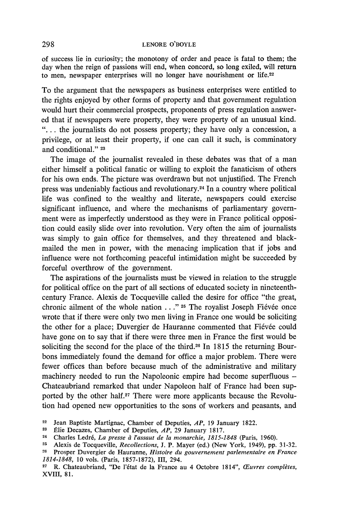of success lie in curiosity; the monotony of order and peace is fatal to them; the day when the reign of passions will end, when concord, so long exiled, will return to men, newspaper enterprises will no longer have nourishment or life.<sup>22</sup>

To the argument that the newspapers as business enterprises were entitled to the rights enjoyed by other forms of property and that government regulation would hurt their commercial prospects, proponents of press regulation answered that if newspapers were property, they were property of an unusual kind. "... the journalists do not possess property; they have only a concession, a privilege, or at least their property, if one can call it such, is comminatory and conditional." 23

The image of the journalist revealed in these debates was that of a man either himself a political fanatic or willing to exploit the fanaticism of others for his own ends. The picture was overdrawn but not uniustified. The French press was undeniably factious and revolutionary.<sup>24</sup> In a country where political life was confined to the wealthy and literate, newspapers could exercise significant influence, and where the mechanisms of parliamentary government were as imperfectly understood as they were in France political opposition could easily slide over into revolution. Very often the aim of journalists was simply to gain office for themselves, and they threatened and blackmailed the men in power, with the menacing implication that if jobs and influence were not forthcoming peaceful intimidation might be succeeded by forceful overthrow of the government.

The aspirations of the journalists must be viewed in relation to the struggle for political office on the part of all sections of educated society in nineteenthcentury France. Alexis de Tocqueville called the desire for office "the great, chronic ailment of the whole nation . . ." <sup>25</sup> The royalist Joseph Fiévée once wrote that if there were only two men living in France one would be soliciting the other for a place; Duvergier de Hauranne commented that Fiévée could have gone on to say that if there were three men in France the first would be soliciting the second for the place of the third.<sup>26</sup> In 1815 the returning Bourbons immediately found the demand for office a major problem. There were fewer offices than before because much of the administrative and military machinery needed to run the Napoleonic empire had become superfluous – Chateaubriand remarked that under Napoleon half of France had been supported by the other half.<sup>27</sup> There were more applicants because the Revolution had opened new opportunities to the sons of workers and peasants, and

<sup>22</sup> Jean Baptiste Martignac, Chamber of Deputies, AP, 19 January 1822.

<sup>23</sup> Élie Decazes, Chamber of Deputies, AP, 29 January 1817.

<sup>&</sup>lt;sup>24</sup> Charles Ledré, La presse à l'assaut de la monarchie, 1815-1848 (Paris, 1960).

<sup>&</sup>lt;sup>25</sup> Alexis de Tocqueville, *Recollections*, J. P. Mayer (ed.) (New York, 1949), pp. 31-32.

<sup>&</sup>lt;sup>26</sup> Prosper Duvergier de Hauranne, Histoire du gouvernement parlementaire en France 1814-1848, 10 vols. (Paris, 1857-1872), III, 294.

<sup>&</sup>lt;sup>27</sup> R. Chateaubriand, "De l'état de la France au 4 Octobre 1814", Œuvres complètes, XVIII, 81.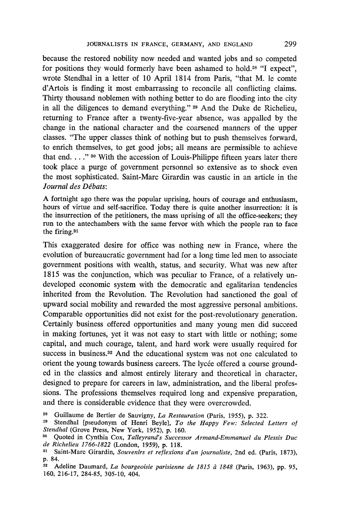because the restored nobility now needed and wanted jobs and so competed for positions they would formerly have been ashamed to hold.<sup>28</sup> "I expect". wrote Stendhal in a letter of 10 April 1814 from Paris. "that M. le comte d'Artois is finding it most embarrassing to reconcile all conflicting claims. Thirty thousand noblemen with nothing better to do are flooding into the city in all the diligences to demand everything." 29 And the Duke de Richelieu, returning to France after a twenty-five-year absence, was appalled by the change in the national character and the coarsened manners of the upper classes. "The upper classes think of nothing but to push themselves forward. to enrich themselves, to get good jobs; all means are permissible to achieve that end...." 30 With the accession of Louis-Philippe fifteen years later there took place a purge of government personnel so extensive as to shock even the most sophisticated. Saint-Marc Girardin was caustic in an article in the Journal des Débats:

A fortnight ago there was the popular uprising, hours of courage and enthusiasm, hours of virtue and self-sacrifice. Today there is quite another insurrection: it is the insurrection of the petitioners, the mass uprising of all the office-seekers; they run to the antechambers with the same fervor with which the people ran to face the firing.<sup>31</sup>

This exaggerated desire for office was nothing new in France, where the evolution of bureaucratic government had for a long time led men to associate government positions with wealth, status, and security. What was new after 1815 was the conjunction, which was peculiar to France, of a relatively undeveloped economic system with the democratic and egalitarian tendencies inherited from the Revolution. The Revolution had sanctioned the goal of upward social mobility and rewarded the most aggressive personal ambitions. Comparable opportunities did not exist for the post-revolutionary generation. Certainly business offered opportunities and many young men did succeed in making fortunes, yet it was not easy to start with little or nothing: some capital, and much courage, talent, and hard work were usually required for success in business.<sup>32</sup> And the educational system was not one calculated to orient the young towards business careers. The lycée offered a course grounded in the classics and almost entirely literary and theoretical in character, designed to prepare for careers in law, administration, and the liberal professions. The professions themselves required long and expensive preparation, and there is considerable evidence that they were overcrowded.

<sup>28</sup> Guillaume de Bertier de Sauvigny, La Restauration (Paris, 1955), p. 322.

<sup>29</sup> Stendhal [pseudonym of Henri Beyle], To the Happy Few: Selected Letters of Stendhal (Grove Press, New York, 1952), p. 160.

<sup>&</sup>lt;sup>30</sup> Quoted in Cynthia Cox, Talleyrand's Successor Armand-Emmanuel du Plessis Duc de Richelieu 1766-1822 (London, 1959), p. 118.

<sup>&</sup>lt;sup>31</sup> Saint-Marc Girardin, Souvenirs et reflexions d'un journaliste, 2nd ed. (Paris, 1873), p. 84.

<sup>&</sup>lt;sup>32</sup> Adeline Daumard, La bourgeoisie parisienne de 1815 à 1848 (Paris, 1963), pp. 95, 160, 216-17, 284-85, 305-10, 404.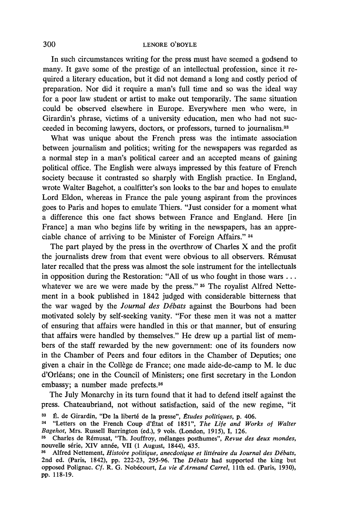In such circumstances writing for the press must have seemed a godsend to many. It gave some of the prestige of an intellectual profession, since it required a literary education, but it did not demand a long and costly period of preparation. Nor did it require a man's full time and so was the ideal way for a poor law student or artist to make out temporarily. The same situation could be observed elsewhere in Europe. Everywhere men who were, in Girardin's phrase, victims of a university education, men who had not succeeded in becoming lawyers, doctors, or professors, turned to journalism.<sup>33</sup>

What was unique about the French press was the intimate association between journalism and politics; writing for the newspapers was regarded as a normal step in a man's political career and an accepted means of gaining political office. The English were always impressed by this feature of French society because it contrasted so sharply with English practice. In England, wrote Walter Bagehot, a coalfitter's son looks to the bar and hopes to emulate Lord Eldon, whereas in France the pale young aspirant from the provinces goes to Paris and hopes to emulate Thiers. "Just consider for a moment what a difference this one fact shows between France and England. Here [in France] a man who begins life by writing in the newspapers, has an appreciable chance of arriving to be Minister of Foreign Affairs." 34

The part played by the press in the overthrow of Charles X and the profit the journalists drew from that event were obvious to all observers. Rémusat later recalled that the press was almost the sole instrument for the intellectuals in opposition during the Restoration: "All of us who fought in those wars  $\dots$ whatever we are we were made by the press." 35 The royalist Alfred Nettement in a book published in 1842 judged with considerable bitterness that the war waged by the Journal des Débats against the Bourbons had been motivated solely by self-seeking vanity. "For these men it was not a matter of ensuring that affairs were handled in this or that manner, but of ensuring that affairs were handled by themselves." He drew up a partial list of members of the staff rewarded by the new government: one of its founders now in the Chamber of Peers and four editors in the Chamber of Deputies; one given a chair in the Collège de France; one made aide-de-camp to M. le duc d'Orléans; one in the Council of Ministers; one first secretary in the London embassy; a number made prefects.<sup>36</sup>

The July Monarchy in its turn found that it had to defend itself against the press. Chateaubriand, not without satisfaction, said of the new regime, "it

É. de Girardin, "De la liberté de la presse", Études politiques, p. 406.

<sup>&</sup>lt;sup>34</sup> "Letters on the French Coup d'État of 1851", The Life and Works of Walter Bagehot, Mrs. Russell Barrington (ed.), 9 vols. (London, 1915), I, 126.

Charles de Rémusat, "Th. Jouffroy, mélanges posthumes", Revue des deux mondes, nouvelle série, XIV année, VII (1 August, 1844), 435.

<sup>36</sup> Alfred Nettement, Histoire politique, anecdotique et littéraire du Journal des Débats, 2nd ed. (Paris, 1842), pp. 222-23, 295-96. The Débats had supported the king but opposed Polignac. Cf. R. G. Nobécourt, La vie d'Armand Carrel, 11th ed. (Paris, 1930), pp. 118-19.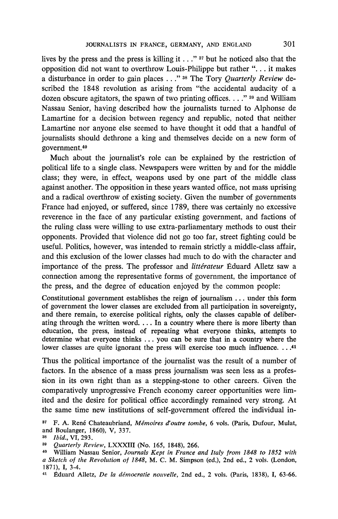lives by the press and the press is killing it . . . "  $37$  but he noticed also that the opposition did not want to overthrow Louis-Philippe but rather "... it makes a disturbance in order to gain places . . . " <sup>38</sup> The Tory *Ouarterly Review* described the 1848 revolution as arising from "the accidental audacity of a dozen obscure agitators, the spawn of two printing offices.  $\ldots$  " <sup>39</sup> and William Nassau Senior, having described how the journalists turned to Alphonse de Lamartine for a decision between regency and republic, noted that neither Lamartine nor anyone else seemed to have thought it odd that a handful of journalists should dethrone a king and themselves decide on a new form of government.<sup>40</sup>

Much about the journalist's role can be explained by the restriction of political life to a single class. Newspapers were written by and for the middle class; they were, in effect, weapons used by one part of the middle class against another. The opposition in these years wanted office, not mass uprising and a radical overthrow of existing society. Given the number of governments France had enjoyed, or suffered, since 1789, there was certainly no excessive reverence in the face of any particular existing government, and factions of the ruling class were willing to use extra-parliamentary methods to oust their opponents. Provided that violence did not go too far, street fighting could be useful. Politics, however, was intended to remain strictly a middle-class affair, and this exclusion of the lower classes had much to do with the character and importance of the press. The professor and *littérateur* Éduard Alletz saw a connection among the representative forms of government, the importance of the press, and the degree of education enjoyed by the common people:

Constitutional government establishes the reign of journalism ... under this form of government the lower classes are excluded from all participation in sovereignty, and there remain, to exercise political rights, only the classes capable of deliberating through the written word. . . . In a country where there is more liberty than education, the press, instead of repeating what everyone thinks, attempts to determine what everyone thinks ... you can be sure that in a country where the lower classes are quite ignorant the press will exercise too much influence....<sup>41</sup>

Thus the political importance of the journalist was the result of a number of factors. In the absence of a mass press journalism was seen less as a profession in its own right than as a stepping-stone to other careers. Given the comparatively unprogressive French economy career opportunities were limited and the desire for political office accordingly remained very strong. At the same time new institutions of self-government offered the individual in-

<sup>&</sup>lt;sup>37</sup> F. A. René Chateaubriand, *Mémoires d'outre tombe*, 6 vols. (Paris, Dufour, Mulat, and Boulanger, 1860), V, 337.

<sup>38</sup> *Ibid.*, VI, 293.

<sup>39</sup> Quarterly Review, LXXXIII (No. 165, 1848), 266.

<sup>&</sup>lt;sup>40</sup> William Nassau Senior, Journals Kept in France and Italy from 1848 to 1852 with a Sketch of the Revolution of 1848, M. C. M. Simpson (ed.), 2nd ed., 2 vols. (London, 1871), I, 3-4.

<sup>&</sup>lt;sup>41</sup> Éduard Alletz, De la démocratie nouvelle, 2nd ed., 2 vols. (Paris, 1838), I, 63-66.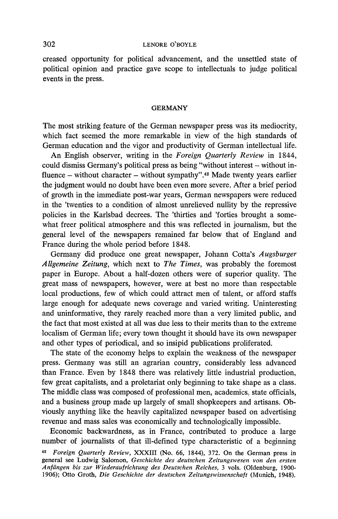creased opportunity for political advancement, and the unsettled state of political opinion and practice gave scope to intellectuals to judge political events in the press.

#### **GERMANY**

The most striking feature of the German newspaper press was its mediocrity, which fact seemed the more remarkable in view of the high standards of German education and the vigor and productivity of German intellectual life.

An English observer, writing in the Foreign Quarterly Review in 1844, could dismiss Germany's political press as being "without interest - without influence – without character – without sympathy".<sup>42</sup> Made twenty years earlier the iudement would no doubt have been even more severe. After a brief period of growth in the immediate post-war years, German newspapers were reduced in the 'twenties to a condition of almost unrelieved nullity by the repressive policies in the Karlsbad decrees. The 'thirties and 'forties brought a somewhat freer political atmosphere and this was reflected in journalism, but the general level of the newspapers remained far below that of England and France during the whole period before 1848.

Germany did produce one great newspaper, Johann Cotta's Augsburger Allgemeine Zeitung, which next to The Times, was probably the foremost paper in Europe. About a half-dozen others were of superior quality. The great mass of newspapers, however, were at best no more than respectable local productions, few of which could attract men of talent, or afford staffs large enough for adequate news coverage and varied writing. Uninteresting and uninformative, they rarely reached more than a very limited public, and the fact that most existed at all was due less to their merits than to the extreme localism of German life; every town thought it should have its own newspaper and other types of periodical, and so insipid publications proliferated.

The state of the economy helps to explain the weakness of the newspaper press. Germany was still an agrarian country, considerably less advanced than France. Even by 1848 there was relatively little industrial production, few great capitalists, and a proletariat only beginning to take shape as a class. The middle class was composed of professional men, academics, state officials, and a business group made up largely of small shopkeepers and artisans. Obviously anything like the heavily capitalized newspaper based on advertising revenue and mass sales was economically and technologically impossible.

Economic backwardness, as in France, contributed to produce a large number of journalists of that ill-defined type characteristic of a beginning

<sup>&</sup>lt;sup>42</sup> Foreign Quarterly Review, XXXIII (No. 66, 1844), 372. On the German press in general see Ludwig Salomon, Geschichte des deutschen Zeitungswesen von den ersten Anfängen bis zur Wiederaufrichtung des Deutschen Reiches, 3 vols. (Oldenburg, 1900-1906); Otto Groth, Die Geschichte der deutschen Zeitungswissenschaft (Munich, 1948).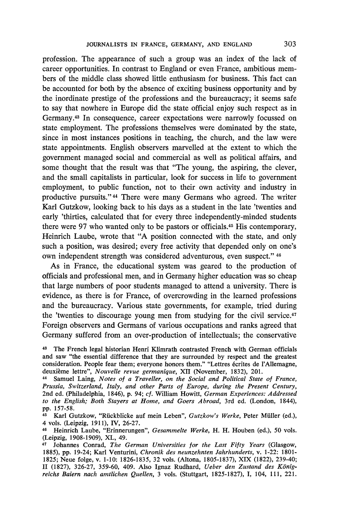profession. The appearance of such a group was an index of the lack of career opportunities. In contrast to England or even France, ambitious members of the middle class showed little enthusiasm for business. This fact can be accounted for both by the absence of exciting business opportunity and by the inordinate prestige of the professions and the bureaucracy; it seems safe to say that nowhere in Europe did the state official enjoy such respect as in Germany.<sup>43</sup> In consequence, career expectations were narrowly focussed on state employment. The professions themselves were dominated by the state, since in most instances positions in teaching, the church, and the law were state appointments. English observers marvelled at the extent to which the government managed social and commercial as well as political affairs, and some thought that the result was that "The young, the aspiring, the clever, and the small capitalists in particular, look for success in life to government employment, to public function, not to their own activity and industry in productive pursuits."<sup>44</sup> There were many Germans who agreed. The writer Karl Gutzkow, looking back to his days as a student in the late 'twenties and early 'thirties, calculated that for every three independently-minded students there were 97 who wanted only to be pastors or officials.<sup>45</sup> His contemporary, Heinrich Laube, wrote that "A position connected with the state, and only such a position, was desired; every free activity that depended only on one's own independent strength was considered adventurous, even suspect." 46

As in France, the educational system was geared to the production of officials and professional men, and in Germany higher education was so cheap that large numbers of poor students managed to attend a university. There is evidence, as there is for France, of overcrowding in the learned professions and the bureaucracy. Various state governments, for example, tried during the 'twenties to discourage young men from studying for the civil service.<sup>47</sup> Foreign observers and Germans of various occupations and ranks agreed that Germany suffered from an over-production of intellectuals; the conservative

<sup>&</sup>lt;sup>43</sup> The French legal historian Henri Klimrath contrasted French with German officials and saw "the essential difference that they are surrounded by respect and the greatest consideration. People fear them; everyone honors them." "Lettres écrites de l'Allemagne, deuxième lettre", Nouvelle revue germanique, XII (November, 1832), 201.

Samuel Laing, Notes of a Traveller, on the Social and Political State of France,  $\bf 44$ Prussia, Switzerland, Italy, and other Parts of Europe, during the Present Century, 2nd ed. (Philadelphia, 1846), p. 94; cf. William Howitt, German Experiences: Addressed to the English; Both Stayers at Home, and Goers Abroad, 3rd ed. (London, 1844), pp. 157-58.

<sup>&</sup>lt;sup>45</sup> Karl Gutzkow, "Rückblicke auf mein Leben", Gutzkow's Werke, Peter Müller (ed.), 4 vols. (Leipzig, 1911), IV, 26-27.

<sup>&</sup>lt;sup>46</sup> Heinrich Laube, "Erinnerungen", Gesammelte Werke, H. H. Houben (ed.), 50 vols. (Leipzig, 1908-1909), XL, 49.

<sup>&</sup>lt;sup>47</sup> Johannes Conrad, The German Universities for the Last Fifty Years (Glasgow, 1885), pp. 19-24; Karl Venturini, Chronik des neunzehnten Jahrhunderts, v. 1-22: 1801-1825; Neue folge, v. 1-10: 1826-1835, 32 vols. (Altona, 1805-1837), XIX (1822), 239-40; II (1827), 326-27, 359-60, 409. Also Ignaz Rudhard, Ueber den Zustand des Königreichs Baiern nach amtlichen Quellen, 3 vols. (Stuttgart, 1825-1827), I, 104, 111, 221.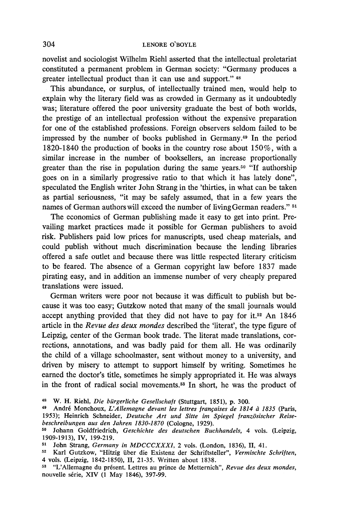novelist and sociologist Wilhelm Riehl asserted that the intellectual proletariat constituted a permanent problem in German society: "Germany produces a greater intellectual product than it can use and support." 48

This abundance, or surplus, of intellectually trained men, would help to explain why the literary field was as crowded in Germany as it undoubtedly was; literature offered the poor university graduate the best of both worlds, the prestige of an intellectual profession without the expensive preparation for one of the established professions. Foreign observers seldom failed to be impressed by the number of books published in Germany.<sup>49</sup> In the period 1820-1840 the production of books in the country rose about 150%, with a similar increase in the number of booksellers, an increase proportionally greater than the rise in population during the same years.<sup>50</sup> "If authorship" goes on in a similarly progressive ratio to that which it has lately done". speculated the English writer John Strang in the 'thirties, in what can be taken as partial seriousness, "it may be safely assumed, that in a few years the names of German authors will exceed the number of living German readers." <sup>51</sup>

The economics of German publishing made it easy to get into print. Prevailing market practices made it possible for German publishers to avoid risk. Publishers paid low prices for manuscripts, used cheap materials, and could publish without much discrimination because the lending libraries offered a safe outlet and because there was little respected literary criticism to be feared. The absence of a German copyright law before 1837 made pirating easy, and in addition an immense number of very cheaply prepared translations were issued.

German writers were poor not because it was difficult to publish but because it was too easy; Gutzkow noted that many of the small journals would accept anything provided that they did not have to pay for it.<sup>52</sup> An 1846 article in the Revue des deux mondes described the 'literat', the type figure of Leipzig, center of the German book trade. The literat made translations, corrections, annotations, and was badly paid for them all. He was ordinarily the child of a village schoolmaster, sent without money to a university, and driven by misery to attempt to support himself by writing. Sometimes he earned the doctor's title, sometimes he simply appropriated it. He was always in the front of radical social movements.<sup>53</sup> In short, he was the product of

<sup>48</sup> W. H. Riehl, Die bürgerliche Gesellschaft (Stuttgart, 1851), p. 300.

<sup>49</sup> André Monchoux, L'Allemagne devant les lettres françaises de 1814 à 1835 (Paris, 1953); Heinrich Schneider, Deutsche Art und Sitte im Spiegel französischer Reisebeschreibungen aus den Jahren 1830-1870 (Cologne, 1929).

<sup>50</sup> Johann Goldfriedrich, Geschichte des deutschen Buchhandels, 4 vols. (Leipzig, 1909-1913), IV, 199-219.

<sup>&</sup>lt;sup>51</sup> John Strang, Germany in MDCCCXXXI, 2 vols. (London, 1836), II, 41.

<sup>52</sup> Karl Gutzkow, "Hitzig über die Existenz der Schriftsteller", Vermischte Schriften, 4 vols. (Leipzig, 1842-1850), II, 21-35. Written about 1838.

<sup>&</sup>lt;sup>53</sup> "L'Allemagne du présent. Lettres au prince de Metternich", Revue des deux mondes, nouvelle série, XIV (1 May 1846), 397-99.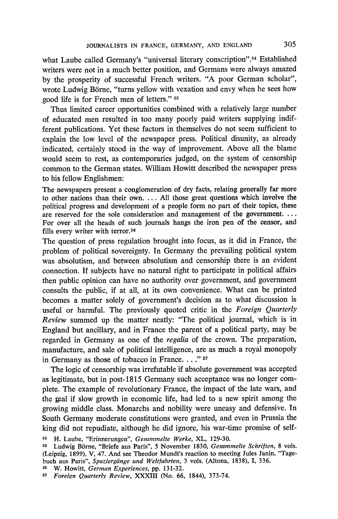what Laube called Germany's "universal literary conscription".<sup>54</sup> Established writers were not in a much better position, and Germans were always amazed by the prosperity of successful French writers. "A poor German scholar", wrote Ludwig Börne, "turns yellow with vexation and envy when he sees how good life is for French men of letters." 55

Thus limited career opportunities combined with a relatively large number of educated men resulted in too many poorly paid writers supplying indifferent publications. Yet these factors in themselves do not seem sufficient to explain the low level of the newspaper press. Political disunity, as already indicated, certainly stood in the way of improvement. Above all the blame would seem to rest, as contemporaries judged, on the system of censorship common to the German states. William Howitt described the newspaper press to his fellow Englishmen:

The newspapers present a conglomeration of dry facts, relating generally far more to other nations than their own. ... All those great questions which involve the political progress and development of a people form no part of their topics, these are reserved for the sole consideration and management of the government. ... For over all the heads of such journals hangs the iron pen of the censor, and fills every writer with terror.<sup>56</sup>

The question of press regulation brought into focus, as it did in France, the problem of political sovereignty. In Germany the prevailing political system was absolutism, and between absolutism and censorship there is an evident connection. If subjects have no natural right to participate in political affairs then public opinion can have no authority over government, and government consults the public, if at all, at its own convenience. What can be printed becomes a matter solely of government's decision as to what discussion is useful or harmful. The previously quoted critic in the Foreign Quarterly Review summed up the matter neatly: "The political journal, which is in England but ancillary, and in France the parent of a political party, may be regarded in Germany as one of the *regalia* of the crown. The preparation, manufacture, and sale of political intelligence, are as much a royal monopoly in Germany as those of tobacco in France. . . ."  $57$ 

The logic of censorship was irrefutable if absolute government was accepted as legitimate, but in post-1815 Germany such acceptance was no longer complete. The example of revolutionary France, the impact of the late wars, and the real if slow growth in economic life, had led to a new spirit among the growing middle class. Monarchs and nobility were uneasy and defensive. In South Germany moderate constitutions were granted, and even in Prussia the king did not repudiate, although he did ignore, his war-time promise of self-

<sup>54</sup> H. Laube, "Erinnerungen", Gesammelte Werke, XL, 129-30.

<sup>&</sup>lt;sup>55</sup> Ludwig Börne, "Briefe aus Paris", 5 November 1830, Gesammelte Schriften, 8 vols. (Leipzig, 1899), V, 47. And see Theodor Mundt's reaction to meeting Jules Janin, "Tagebuch aus Paris", Spaziergänge und Weltfahrten, 3 vols. (Altona, 1838), I, 336.

<sup>&</sup>lt;sup>56</sup> W. Howitt, German Experiences, pp. 131-32.

<sup>57</sup> Foreign Quarterly Review, XXXIII (No. 66, 1844), 373-74.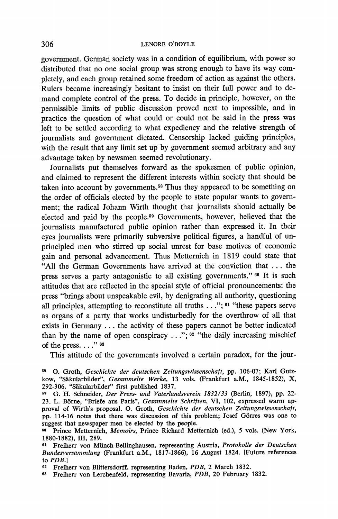government. German society was in a condition of equilibrium, with power so distributed that no one social group was strong enough to have its way completely, and each group retained some freedom of action as against the others. Rulers became increasingly hesitant to insist on their full power and to demand complete control of the press. To decide in principle, however, on the permissible limits of public discussion proved next to impossible, and in practice the question of what could or could not be said in the press was left to be settled according to what expediency and the relative strength of journalists and government dictated. Censorship lacked guiding principles, with the result that any limit set up by government seemed arbitrary and any advantage taken by newsmen seemed revolutionary.

Journalists put themselves forward as the spokesmen of public opinion, and claimed to represent the different interests within society that should be taken into account by governments.<sup>58</sup> Thus they appeared to be something on the order of officials elected by the people to state popular wants to government; the radical Johann Wirth thought that journalists should actually be elected and paid by the people.<sup>59</sup> Governments, however, believed that the journalists manufactured public opinion rather than expressed it. In their eyes journalists were primarily subversive political figures, a handful of unprincipled men who stirred up social unrest for base motives of economic gain and personal advancement. Thus Metternich in 1819 could state that "All the German Governments have arrived at the conviction that ... the press serves a party antagonistic to all existing governments." <sup>60</sup> It is such attitudes that are reflected in the special style of official pronouncements: the press "brings about unspeakable evil, by denigrating all authority, questioning all principles, attempting to reconstitute all truths . . ."; <sup>61</sup> "these papers serve as organs of a party that works undisturbedly for the overthrow of all that exists in Germany ... the activity of these papers cannot be better indicated than by the name of open conspiracy ...";  $62$  "the daily increasing mischief of the press.  $\ldots$ ." 63

This attitude of the governments involved a certain paradox, for the jour-

<sup>58</sup> O. Groth, Geschichte der deutschen Zeitungswissenschaft, pp. 106-07; Karl Gutzkow, "Säkularbilder", Gesammelte Werke, 13 vols. (Frankfurt a.M., 1845-1852), X, 292-306. "Säkularbilder" first published 1837.

<sup>59</sup> G. H. Schneider, Der Press- und Vaterlandsverein 1832/33 (Berlin, 1897), pp. 22-23. L. Börne, "Briefe aus Paris", Gesammelte Schriften, VI, 102, expressed warm approval of Wirth's proposal. O. Groth, Geschichte der deutschen Zeitungswissenschaft, pp. 114-16 notes that there was discussion of this problem; Josef Görres was one to suggest that newspaper men be elected by the people.

<sup>&</sup>lt;sup>60</sup> Prince Metternich, Memoirs, Prince Richard Metternich (ed.), 5 vols. (New York, 1880-1882), III, 289.

<sup>&</sup>lt;sup>61</sup> Freiherr von Münch-Bellinghausen, representing Austria, Protokolle der Deutschen Bundesversammlung (Frankfurt a.M., 1817-1866), 16 August 1824. [Future references to  $PDB.1$ 

<sup>&</sup>lt;sup>62</sup> Freiherr von Blittersdorff, representing Baden, PDB, 2 March 1832.

<sup>&</sup>lt;sup>63</sup> Freiherr von Lerchenfeld, representing Bavaria, PDB, 20 February 1832.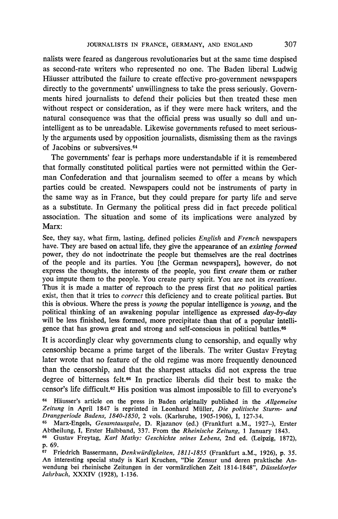nalists were feared as dangerous revolutionaries but at the same time despised as second-rate writers who represented no one. The Baden liberal Ludwig Häusser attributed the failure to create effective pro-government newspapers directly to the governments' unwillingness to take the press seriously. Governments hired journalists to defend their policies but then treated these men without respect or consideration, as if they were mere hack writers, and the natural consequence was that the official press was usually so dull and unintelligent as to be unreadable. Likewise governments refused to meet seriously the arguments used by opposition journalists, dismissing them as the ravings of Jacobins or subversives.<sup>64</sup>

The governments' fear is perhaps more understandable if it is remembered that formally constituted political parties were not permitted within the German Confederation and that journalism seemed to offer a means by which parties could be created. Newspapers could not be instruments of party in the same way as in France, but they could prepare for party life and serve as a substitute. In Germany the political press did in fact precede political association. The situation and some of its implications were analyzed by Marx:

See, they say, what firm, lasting, defined policies *English* and *French* newspapers have. They are based on actual life, they give the appearance of an existing formed power, they do not indoctrinate the people but themselves are the real doctrines of the people and its parties. You [the German newspapers], however, do not express the thoughts, the interests of the people, you first create them or rather you impute them to the people. You create party spirit. You are not its creations. Thus it is made a matter of reproach to the press first that no political parties exist, then that it tries to *correct* this deficiency and to create political parties. But this is obvious. Where the press is *young* the popular intelligence is *young*, and the political thinking of an awakening popular intelligence as expressed day-by-day will be less finished, less formed, more precipitate than that of a popular intelligence that has grown great and strong and self-conscious in political battles.<sup>65</sup>

It is accordingly clear why governments clung to censorship, and equally why censorship became a prime target of the liberals. The writer Gustav Freytag later wrote that no feature of the old regime was more frequently denounced than the censorship, and that the sharpest attacks did not express the true degree of bitterness felt.<sup>66</sup> In practice liberals did their best to make the censor's life difficult.<sup>67</sup> His position was almost impossible to fill to everyone's

<sup>&</sup>lt;sup>64</sup> Häusser's article on the press in Baden originally published in the Allgemeine Zeitung in April 1847 is reprinted in Leonhard Müller, Die politische Sturm- und Drangperiode Badens, 1840-1850, 2 vols. (Karlsruhe, 1905-1906), I, 127-34.

<sup>&</sup>lt;sup>65</sup> Marx-Engels, Gesamtausgabe, D. Rjazanov (ed.) (Frankfurt a.M., 1927-), Erster Abtheilung, I, Erster Halbband, 337. From the Rheinische Zeitung, 1 January 1843.

<sup>&</sup>lt;sup>66</sup> Gustav Freytag, Karl Mathy: Geschichte seines Lebens, 2nd ed. (Leipzig, 1872), p. 69.

<sup>&</sup>lt;sup>67</sup> Friedrich Bassermann, Denkwürdigkeiten, 1811-1855 (Frankfurt a.M., 1926), p. 35. An interesting special study is Karl Kruchen, "Die Zensur und deren praktische Anwendung bei rheinische Zeitungen in der vormärzlichen Zeit 1814-1848", Düsseldorfer Jahrbuch, XXXIV (1928), 1-136.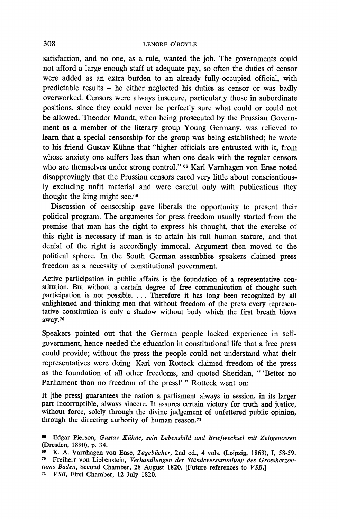satisfaction, and no one, as a rule, wanted the job. The governments could not afford a large enough staff at adequate pay, so often the duties of censor were added as an extra burden to an already fully-occupied official, with predictable results – he either neglected his duties as censor or was badly overworked. Censors were always insecure, particularly those in subordinate positions, since they could never be perfectly sure what could or could not be allowed. Theodor Mundt, when being prosecuted by the Prussian Government as a member of the literary group Young Germany, was relieved to learn that a special censorship for the group was being established: he wrote to his friend Gustav Kühne that "higher officials are entrusted with it. from whose anxiety one suffers less than when one deals with the regular censors who are themselves under strong control." 68 Karl Varnhagen von Ense noted disapprovingly that the Prussian censors cared very little about conscientiously excluding unfit material and were careful only with publications they thought the king might see.<sup>69</sup>

Discussion of censorship gave liberals the opportunity to present their political program. The arguments for press freedom usually started from the premise that man has the right to express his thought, that the exercise of this right is necessary if man is to attain his full human stature, and that denial of the right is accordingly immoral. Argument then moved to the political sphere. In the South German assemblies speakers claimed press freedom as a necessity of constitutional government.

Active participation in public affairs is the foundation of a representative constitution. But without a certain degree of free communication of thought such participation is not possible. ... Therefore it has long been recognized by all enlightened and thinking men that without freedom of the press every representative constitution is only a shadow without body which the first breath blows away.70

Speakers pointed out that the German people lacked experience in selfgovernment, hence needed the education in constitutional life that a free press could provide; without the press the people could not understand what their representatives were doing. Karl von Rotteck claimed freedom of the press as the foundation of all other freedoms, and quoted Sheridan, "'Better no Parliament than no freedom of the press!' " Rotteck went on:

It [the press] guarantees the nation a parliament always in session, in its larger part incorruptible, always sincere. It assures certain victory for truth and justice, without force, solely through the divine judgement of unfettered public opinion, through the directing authority of human reason.<sup>71</sup>

<sup>&</sup>lt;sup>68</sup> Edgar Pierson, Gustav Kühne, sein Lebensbild und Briefwechsel mit Zeitgenossen (Dresden, 1890), p. 34.

<sup>&</sup>lt;sup>69</sup> K. A. Varnhagen von Ense, *Tagebücher*, 2nd ed., 4 vols. (Leipzig, 1863), I, 58-59. 70 Freiherr von Liebenstein, Verhandlungen der Ständeversammlung des Grossherzogtums Baden, Second Chamber, 28 August 1820. [Future references to VSB.] <sup>71</sup> *VSB*, First Chamber, 12 July 1820.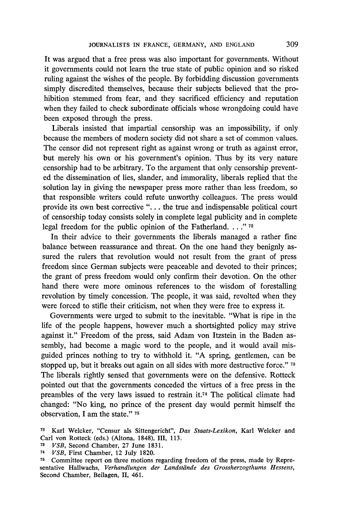It was argued that a free press was also important for governments. Without it governments could not learn the true state of public opinion and so risked ruling against the wishes of the people. By forbidding discussion governments simply discredited themselves. because their subjects believed that the prohibition stemmed from fear, and they sacrificed efficiency and reputation when they failed to check subordinate officials whose wrongdoing could have been exposed through the press.

Liberals insisted that impartial censorship was an impossibility, if only because the members of modern society did not share a set of common values. The censor did not represent right as against wrong or truth as against error. but merely his own or his government's opinion. Thus by its very nature censorship had to be arbitrary. To the argument that only censorship prevented the dissemination of lies, slander, and immorality, liberals replied that the solution lay in giving the newspaper press more rather than less freedom, so that responsible writers could refute unworthy colleagues. The press would provide its own best corrective "... the true and indispensable political court of censorship today consists solely in complete legal publicity and in complete legal freedom for the public opinion of the Fatherland...."  $72$ 

In their advice to their governments the liberals managed a rather fine balance between reassurance and threat. On the one hand they benignly assured the rulers that revolution would not result from the grant of press freedom since German subjects were peaceable and devoted to their princes: the grant of press freedom would only confirm their devotion. On the other hand there were more ominous references to the wisdom of forestalling revolution by timely concession. The people, it was said, revolted when they were forced to stifle their criticism, not when they were free to express it.

Governments were urged to submit to the inevitable. "What is ripe in the life of the people happens, however much a shortsighted policy may strive against it." Freedom of the press, said Adam von Itzstein in the Baden assembly, had become a magic word to the people, and it would avail misguided princes nothing to try to withhold it. "A spring, gentlemen, can be stopped up, but it breaks out again on all sides with more destructive force." 73 The liberals rightly sensed that governments were on the defensive. Rotteck pointed out that the governments conceded the virtues of a free press in the preambles of the very laws issued to restrain it.<sup>74</sup> The political climate had changed: "No king, no prince of the present day would permit himself the observation, I am the state." 75

<sup>72</sup> Karl Welcker, "Censur als Sittengericht", Das Staats-Lexikon, Karl Welcker and Carl von Rotteck (eds.) (Altona, 1848), III, 113.

<sup>73</sup> VSB, Second Chamber, 27 June 1831.

<sup>&</sup>lt;sup>74</sup> *VSB*, First Chamber, 12 July 1820.

<sup>&</sup>lt;sup>75</sup> Committee report on three motions regarding freedom of the press, made by Representative Hallwachs, Verhandlungen der Landstände des Grossherzogthums Hessens, Second Chamber, Beilagen, II, 461.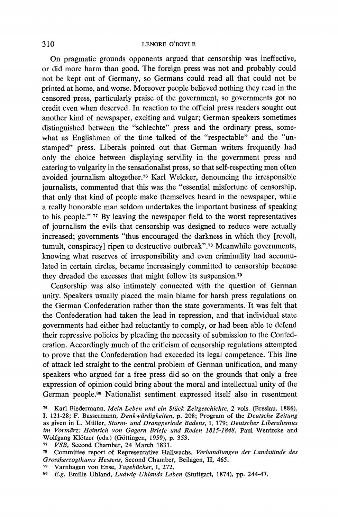On pragmatic grounds opponents argued that censorship was ineffective, or did more harm than good. The foreign press was not and probably could not be kept out of Germany, so Germans could read all that could not be printed at home, and worse. Moreover people believed nothing they read in the censored press, particularly praise of the government, so governments got no credit even when deserved. In reaction to the official press readers sought out another kind of newspaper, exciting and vulgar; German speakers sometimes distinguished between the "schlechte" press and the ordinary press, somewhat as Englishmen of the time talked of the "respectable" and the "unstamped" press. Liberals pointed out that German writers frequently had only the choice between displaying servility in the government press and catering to vulgarity in the sensationalist press, so that self-respecting men often avoided journalism altogether.<sup>76</sup> Karl Welcker, denouncing the irresponsible journalists, commented that this was the "essential misfortune of censorship, that only that kind of people make themselves heard in the newspaper, while a really honorable man seldom undertakes the important business of speaking to his people." <sup>77</sup> By leaving the newspaper field to the worst representatives of journalism the evils that censorship was designed to reduce were actually increased; governments "thus encouraged the darkness in which they [revolt, tumult, conspiracyl ripen to destructive outbreak".<sup>78</sup> Meanwhile governments, knowing what reserves of irresponsibility and even criminality had accumulated in certain circles, became increasingly committed to censorship because they dreaded the excesses that might follow its suspension.<sup>79</sup>

Censorship was also intimately connected with the question of German unity. Speakers usually placed the main blame for harsh press regulations on the German Confederation rather than the state governments. It was felt that the Confederation had taken the lead in repression, and that individual state governments had either had reluctantly to comply, or had been able to defend their repressive policies by pleading the necessity of submission to the Confederation. Accordingly much of the criticism of censorship regulations attempted to prove that the Confederation had exceeded its legal competence. This line of attack led straight to the central problem of German unification, and many speakers who argued for a free press did so on the grounds that only a free expression of opinion could bring about the moral and intellectual unity of the German people.<sup>80</sup> Nationalist sentiment expressed itself also in resentment

<sup>79</sup> Varnhagen von Ense, Tagebücher, I, 272.

<sup>76</sup> Karl Biedermann, Mein Leben und ein Stück Zeitgeschichte, 2 vols. (Breslau, 1886), I, 121-28; F. Bassermann, Denkwürdigkeiten, p. 208; Program of the Deutsche Zeitung as given in L. Müller, Sturm- und Drangperiode Badens, I, 179; Deutscher Liberalismus im Vormärz: Heinrich von Gagern Briefe und Reden 1815-1848, Paul Wentzcke and Wolfgang Klötzer (eds.) (Göttingen, 1959), p. 353.

<sup>77</sup> VSB, Second Chamber, 24 March 1831.

<sup>78</sup> Committee report of Representative Hallwachs, Verhandlungen der Landstände des Grossherzogthums Hessens, Second Chamber, Beilagen, II, 465.

<sup>80</sup> E.g. Emilie Uhland, Ludwig Uhlands Leben (Stuttgart, 1874), pp. 244-47.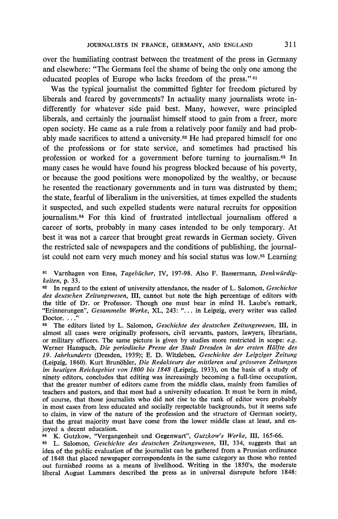over the humiliating contrast between the treatment of the press in Germany and elsewhere: "The Germans feel the shame of being the only one among the educated peoples of Europe who lacks freedom of the press."<sup>81</sup>

Was the typical journalist the committed fighter for freedom pictured by liberals and feared by governments? In actuality many journalists wrote indifferently for whatever side paid best. Many, however, were principled liberals, and certainly the journalist himself stood to gain from a freer, more open society. He came as a rule from a relatively poor family and had probably made sacrifices to attend a university.<sup>82</sup> He had prepared himself for one of the professions or for state service, and sometimes had practised his profession or worked for a government before turning to journalism.<sup>83</sup> In many cases he would have found his progress blocked because of his poverty, or because the good positions were monopolized by the wealthy, or because he resented the reactionary governments and in turn was distrusted by them: the state, fearful of liberalism in the universities, at times expelled the students it suspected, and such expelled students were natural recruits for opposition journalism.<sup>84</sup> For this kind of frustrated intellectual journalism offered a career of sorts, probably in many cases intended to be only temporary. At best it was not a career that brought great rewards in German society. Given the restricted sale of newspapers and the conditions of publishing, the journalist could not earn very much money and his social status was low.<sup>85</sup> Learning

<sup>82</sup> In regard to the extent of university attendance, the reader of L. Salomon, *Geschichte* des deutschen Zeitungswesen, III, cannot but note the high percentage of editors with the title of Dr. or Professor. Though one must bear in mind H. Laube's remark, "Erinnerungen", Gesammelte Werke, XL, 243: "... in Leipzig, every writer was called Doctor.  $\ldots$ "

83 The editors listed by L. Salomon, Geschichte des deutschen Zeitungswesen, III, in almost all cases were originally professors, civil servants, pastors, lawyers, librarians, or military officers. The same picture is given by studies more restricted in scope:  $e.g.$ Werner Hanspach, Die periodische Presse der Stadt Dresden in der ersten Hälfte des 19. Jahrhunderts (Dresden, 1939); E. D. Witzleben, Geschichte der Leipziger Zeitung (Leipzig, 1860). Kurt Brunöhler, Die Redakteurs der mittleren und grösseren Zeitungen im heutigen Reichsgebiet von 1800 bis 1848 (Leipzig, 1933), on the basis of a study of ninety editors, concludes that editing was increasingly becoming a full-time occupation, that the greater number of editors came from the middle class, mainly from families of teachers and pastors, and that most had a university education. It must be born in mind, of course, that those journalists who did not rise to the rank of editor were probably in most cases from less educated and socially respectable backgrounds, but it seems safe to claim, in view of the nature of the profession and the structure of German society, that the great majority must have come from the lower middle class at least, and enjoyed a decent education.

84 K. Gutzkow, "Vergangenheit und Gegenwart", Gutzkow's Werke, III, 165-66.

85 L. Salomon, Geschichte des deutschen Zeitungswesen, III, 334, suggests that an idea of the public evaluation of the journalist can be gathered from a Prussian ordinance of 1848 that placed newspaper correspondents in the same category as those who rented out furnished rooms as a means of livelihood. Writing in the 1850's, the moderate liberal August Lammers described the press as in universal disrepute before 1848:

<sup>81</sup> Varnhagen von Ense, Tagebücher, IV, 197-98. Also F. Bassermann, Denkwürdigkeiten. p. 33.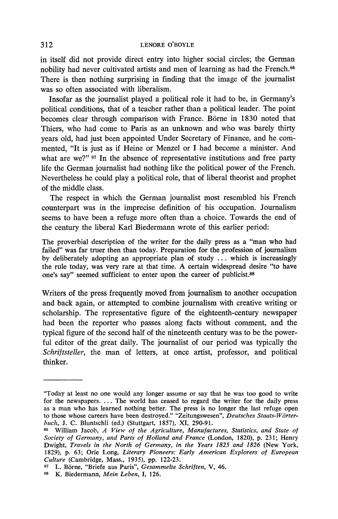in itself did not provide direct entry into higher social circles; the German nobility had never cultivated artists and men of learning as had the French.<sup>86</sup> There is then nothing surprising in finding that the image of the iournalist was so often associated with liberalism.

Insofar as the journalist played a political role it had to be, in Germany's political conditions, that of a teacher rather than a political leader. The point becomes clear through comparison with France. Börne in 1830 noted that Thiers, who had come to Paris as an unknown and who was barely thirty vears old, had just been appointed Under Secretary of Finance, and he commented. "It is just as if Heine or Menzel or I had become a minister. And what are we?" <sup>87</sup> In the absence of representative institutions and free party life the German iournalist had nothing like the political power of the French. Nevertheless he could play a political role, that of liberal theorist and prophet of the middle class.

The respect in which the German journalist most resembled his French counterpart was in the imprecise definition of his occupation. Journalism seems to have been a refuge more often than a choice. Towards the end of the century the liberal Karl Biedermann wrote of this earlier period:

The proverbial description of the writer for the daily press as a "man who had failed" was far truer then than today. Preparation for the profession of journalism by deliberately adopting an appropriate plan of study ... which is increasingly the rule today, was very rare at that time. A certain widespread desire "to have one's say" seemed sufficient to enter upon the career of publicist.<sup>88</sup>

Writers of the press frequently moved from journalism to another occupation and back again, or attempted to combine journalism with creative writing or scholarship. The representative figure of the eighteenth-century newspaper had been the reporter who passes along facts without comment, and the typical figure of the second half of the nineteenth century was to be the powerful editor of the great daily. The journalist of our period was typically the Schriftsteller, the man of letters, at once artist, professor, and political thinker.

<sup>&</sup>quot;Today at least no one would any longer assume or say that he was too good to write for the newspapers.... The world has ceased to regard the writer for the daily press as a man who has learned nothing better. The press is no longer the last refuge open to those whose careers have been destroyed." "Zeitungswesen", Deutsches Staats-Wörterbuch, J. C. Bluntschli (ed.) (Stuttgart, 1857), XI, 290-91.

<sup>86</sup> William Jacob, A View of the Agriculture, Manufactures, Statistics, and State of Society of Germany, and Parts of Holland and France (London, 1820), p. 231; Henry Dwight, Travels in the North of Germany, in the Years 1825 and 1826 (New York, 1829), p. 63; Orie Long, Literary Pioneers: Early American Explorers of European Culture (Cambridge, Mass., 1935), pp. 122-23.

<sup>87</sup> L. Börne, "Briefe aus Paris", Gesammelte Schriften, V, 46.

<sup>88</sup> K. Biedermann, Mein Leben, I, 126.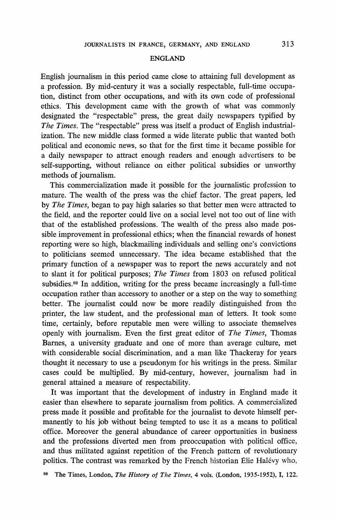#### **ENGLAND**

English journalism in this period came close to attaining full development as a profession. By mid-century it was a socially respectable, full-time occupation, distinct from other occupations, and with its own code of professional ethics. This development came with the growth of what was commonly designated the "respectable" press, the great daily newspapers typified by The Times. The "respectable" press was itself a product of English industrialization. The new middle class formed a wide literate public that wanted both political and economic news, so that for the first time it became possible for a daily newspaper to attract enough readers and enough advertisers to be self-supporting, without reliance on either political subsidies or unworthy methods of journalism.

This commercialization made it possible for the journalistic profession to mature. The wealth of the press was the chief factor. The great papers, led by *The Times*, began to pay high salaries so that better men were attracted to the field, and the reporter could live on a social level not too out of line with that of the established professions. The wealth of the press also made possible improvement in professional ethics; when the financial rewards of honest reporting were so high, blackmailing individuals and selling one's convictions to politicians seemed unnecessary. The idea became established that the primary function of a newspaper was to report the news accurately and not to slant it for political purposes: *The Times* from 1803 on refused political subsidies.<sup>89</sup> In addition, writing for the press became increasingly a full-time occupation rather than accessory to another or a step on the way to something better. The journalist could now be more readily distinguished from the printer, the law student, and the professional man of letters. It took some time, certainly, before reputable men were willing to associate themselves openly with journalism. Even the first great editor of The Times, Thomas Barnes, a university graduate and one of more than average culture, met with considerable social discrimination, and a man like Thackeray for years thought it necessary to use a pseudonym for his writings in the press. Similar cases could be multiplied. By mid-century, however, journalism had in general attained a measure of respectability.

It was important that the development of industry in England made it easier than elsewhere to separate journalism from politics. A commercialized press made it possible and profitable for the journalist to devote himself permanently to his job without being tempted to use it as a means to political office. Moreover the general abundance of career opportunities in business and the professions diverted men from preoccupation with political office, and thus militated against repetition of the French pattern of revolutionary politics. The contrast was remarked by the French historian Élie Halévy who,

89 The Times, London, The History of The Times, 4 vols. (London, 1935-1952), I, 122.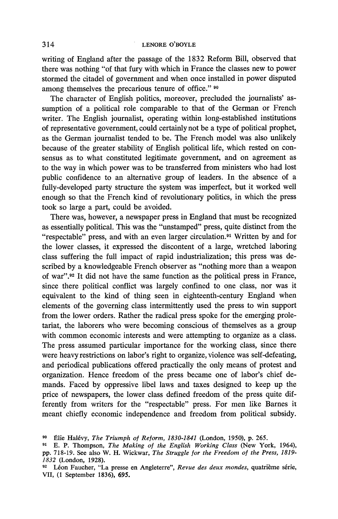writing of England after the passage of the 1832 Reform Bill, observed that there was nothing "of that fury with which in France the classes new to power stormed the citadel of government and when once installed in power disputed among themselves the precarious tenure of office." <sup>90</sup>

The character of English politics, moreover, precluded the journalists' assumption of a political role comparable to that of the German or French writer. The English journalist, operating within long-established institutions of representative government, could certainly not be a type of political prophet, as the German iournalist tended to be. The French model was also unlikely because of the greater stability of English political life, which rested on consensus as to what constituted legitimate government, and on agreement as to the way in which power was to be transferred from ministers who had lost public confidence to an alternative group of leaders. In the absence of a fully-developed party structure the system was imperfect, but it worked well enough so that the French kind of revolutionary politics, in which the press took so large a part, could be avoided.

There was, however, a newspaper press in England that must be recognized as essentially political. This was the "unstamped" press, quite distinct from the "respectable" press, and with an even larger circulation.<sup>91</sup> Written by and for the lower classes, it expressed the discontent of a large, wretched laboring class suffering the full impact of rapid industrialization; this press was described by a knowledgeable French observer as "nothing more than a weapon of war".<sup>92</sup> It did not have the same function as the political press in France, since there political conflict was largely confined to one class, nor was it equivalent to the kind of thing seen in eighteenth-century England when elements of the governing class intermittently used the press to win support from the lower orders. Rather the radical press spoke for the emerging proletariat, the laborers who were becoming conscious of themselves as a group with common economic interests and were attempting to organize as a class. The press assumed particular importance for the working class, since there were heavy restrictions on labor's right to organize, violence was self-defeating, and periodical publications offered practically the only means of protest and organization. Hence freedom of the press became one of labor's chief demands. Faced by oppressive libel laws and taxes designed to keep up the price of newspapers, the lower class defined freedom of the press quite differently from writers for the "respectable" press. For men like Barnes it meant chiefly economic independence and freedom from political subsidy.

<sup>&</sup>lt;sup>90</sup> Élie Halévy, The Triumph of Reform, 1830-1841 (London, 1950), p. 265.

<sup>&</sup>lt;sup>91</sup> E. P. Thompson, *The Making of the English Working Class* (New York, 1964), pp. 718-19. See also W. H. Wickwar, The Struggle for the Freedom of the Press, 1819-1832 (London, 1928).

<sup>&</sup>lt;sup>92</sup> Léon Faucher, "La presse en Angleterre", Revue des deux mondes, quatrième série, VII, (1 September 1836), 695.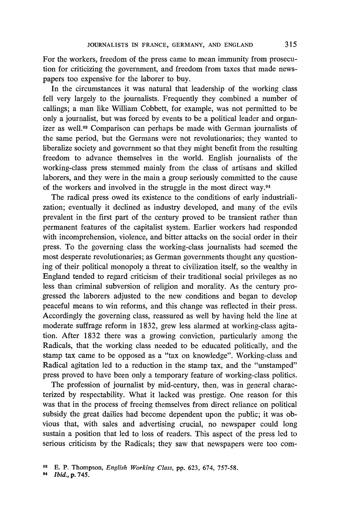For the workers, freedom of the press came to mean immunity from prosecution for criticizing the government, and freedom from taxes that made newspapers too expensive for the laborer to buy.

In the circumstances it was natural that leadership of the working class fell very largely to the journalists. Frequently they combined a number of callings: a man like William Cobbett, for example, was not permitted to be only a journalist, but was forced by events to be a political leader and organizer as well.<sup>93</sup> Comparison can perhaps be made with German journalists of the same period, but the Germans were not revolutionaries; they wanted to liberalize society and government so that they might benefit from the resulting freedom to advance themselves in the world. English journalists of the working-class press stemmed mainly from the class of artisans and skilled laborers, and they were in the main a group seriously committed to the cause of the workers and involved in the struggle in the most direct way.<sup>94</sup>

The radical press owed its existence to the conditions of early industrialization; eventually it declined as industry developed, and many of the evils prevalent in the first part of the century proved to be transient rather than permanent features of the capitalist system. Earlier workers had responded with incomprehension, violence, and bitter attacks on the social order in their press. To the governing class the working-class journalists had seemed the most desperate revolutionaries; as German governments thought any questioning of their political monopoly a threat to civilization itself, so the wealthy in England tended to regard criticism of their traditional social privileges as no less than criminal subversion of religion and morality. As the century progressed the laborers adjusted to the new conditions and began to develop peaceful means to win reforms, and this change was reflected in their press. Accordingly the governing class, reassured as well by having held the line at moderate suffrage reform in 1832, grew less alarmed at working-class agitation. After 1832 there was a growing conviction, particularly among the Radicals, that the working class needed to be educated politically, and the stamp tax came to be opposed as a "tax on knowledge". Working-class and Radical agitation led to a reduction in the stamp tax, and the "unstamped" press proved to have been only a temporary feature of working-class politics.

The profession of journalist by mid-century, then, was in general characterized by respectability. What it lacked was prestige. One reason for this was that in the process of freeing themselves from direct reliance on political subsidy the great dailies had become dependent upon the public; it was obvious that, with sales and advertising crucial, no newspaper could long sustain a position that led to loss of readers. This aspect of the press led to serious criticism by the Radicals; they saw that newspapers were too com-

 $94$ Ibid., p. 745.

<sup>&</sup>lt;sup>93</sup> E. P. Thompson, *English Working Class*, pp. 623, 674, 757-58.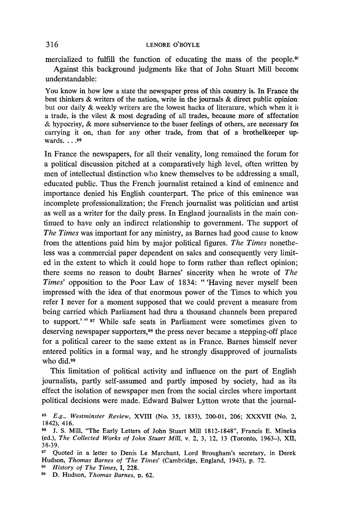mercialized to fulfill the function of educating the mass of the people.<sup>91</sup>

Against this background judgments like that of John Stuart Mill become understandable:

You know in how low a state the newspaper press of this country is. In France the best thinkers & writers of the nation, write in the journals & direct public opinion but our daily & weekly writers are the lowest hacks of literature, which when it is a trade, is the vilest  $\&$  most degrading of all trades, because more of affectation & hypocrisy,  $\&$  more subservience to the baser feelings of others, are necessary for carrying it on, than for any other trade, from that of a brothelkeeper upwards.  $.96$ 

In France the newspapers, for all their venality, long remained the forum for a political discussion pitched at a comparatively high level, often written by men of intellectual distinction who knew themselves to be addressing a small. educated public. Thus the French journalist retained a kind of eminence and importance denied his English counterpart. The price of this eminence was incomplete professionalization; the French journalist was politician and artist as well as a writer for the daily press. In England journalists in the main continued to have only an indirect relationship to government. The support of The Times was important for any ministry, as Barnes had good cause to know from the attentions paid him by major political figures. The Times nonetheless was a commercial paper dependent on sales and consequently very limited in the extent to which it could hope to form rather than reflect opinion; there seems no reason to doubt Barnes' sincerity when he wrote of The *Times'* opposition to the Poor Law of 1834: "'Having never myself been impressed with the idea of that enormous power of the Times to which you refer I never for a moment supposed that we could prevent a measure from being carried which Parliament had thru a thousand channels been prepared to support.'" <sup>97</sup> While safe seats in Parliament were sometimes given to deserving newspaper supporters,<sup>98</sup> the press never became a stepping-off place for a political career to the same extent as in France. Barnes himself never entered politics in a formal way, and he strongly disapproved of journalists who did.<sup>99</sup>

This limitation of political activity and influence on the part of English journalists, partly self-assumed and partly imposed by society, had as its effect the isolation of newspaper men from the social circles where important political decisions were made. Edward Bulwer Lytton wrote that the journal-

<sup>99</sup> D. Hudson, Thomas Barnes, p. 62.

<sup>&</sup>lt;sup>95</sup> E.g., Westminster Review, XVIII (No. 35, 1833), 200-01, 206; XXXVII (No. 2, 1842), 416.

<sup>&</sup>lt;sup>96</sup> J. S. Mill, "The Early Letters of John Stuart Mill 1812-1848", Francis E. Mineka (ed.), The Collected Works of John Stuart Mill, v. 2, 3, 12, 13 (Toronto, 1963-), XII, 38-39.

<sup>&</sup>lt;sup>97</sup> Quoted in a letter to Denis Le Marchant, Lord Brougham's secretary, in Derek Hudson, Thomas Barnes of 'The Times' (Cambridge, England, 1943), p. 72.<br><sup>98</sup> History of The Times, I, 228.